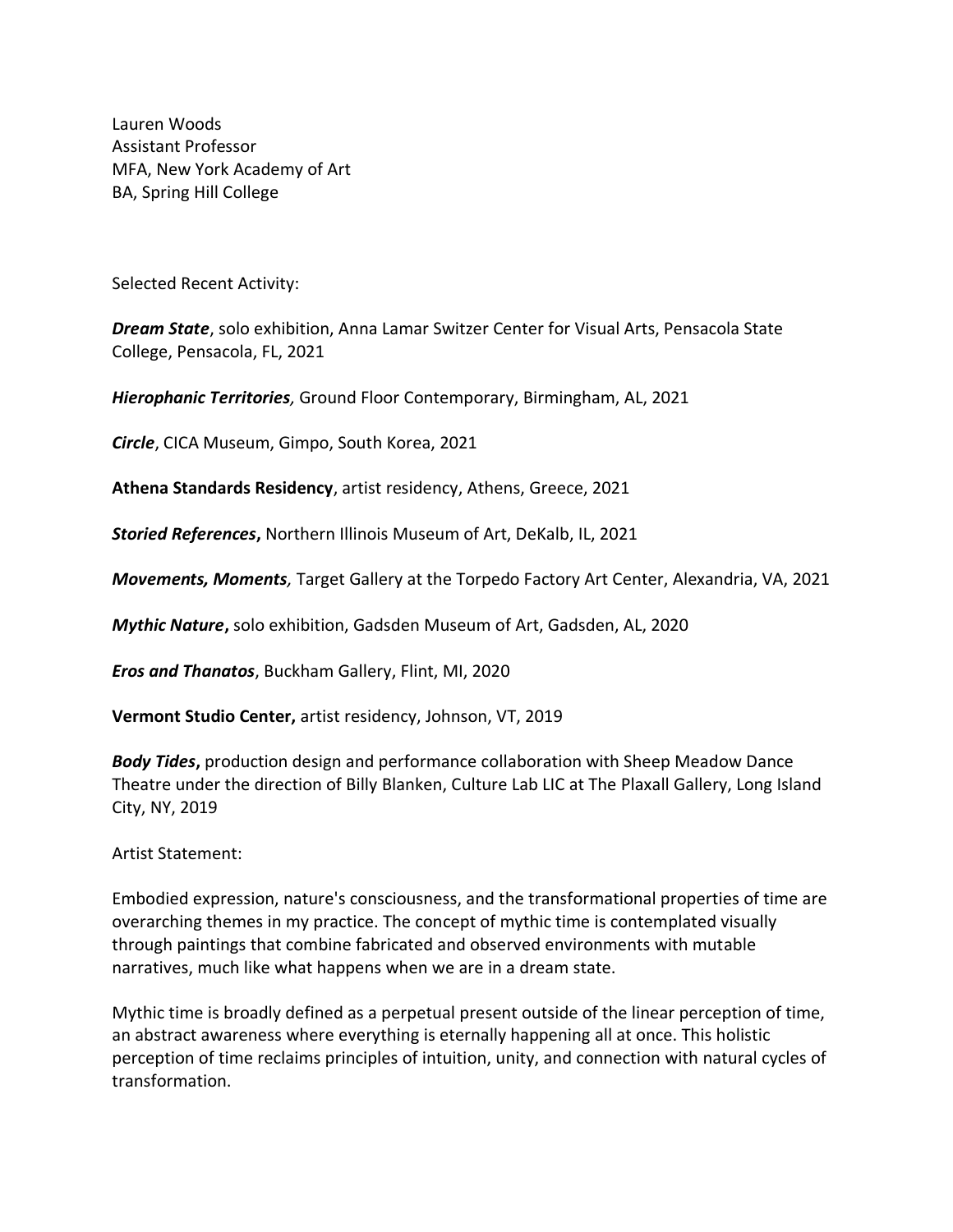Lauren Woods Assistant Professor MFA, New York Academy of Art BA, Spring Hill College

Selected Recent Activity:

*Dream State*, solo exhibition, Anna Lamar Switzer Center for Visual Arts, Pensacola State College, Pensacola, FL, 2021

*Hierophanic Territories,* Ground Floor Contemporary, Birmingham, AL, 2021

*Circle*, CICA Museum, Gimpo, South Korea, 2021

**Athena Standards Residency**, artist residency, Athens, Greece, 2021

*Storied References***,** Northern Illinois Museum of Art, DeKalb, IL, 2021

*Movements, Moments,* Target Gallery at the Torpedo Factory Art Center, Alexandria, VA, 2021

*Mythic Nature***,** solo exhibition, Gadsden Museum of Art, Gadsden, AL, 2020

*Eros and Thanatos*, Buckham Gallery, Flint, MI, 2020

**Vermont Studio Center,** artist residency, Johnson, VT, 2019

*Body Tides***,** production design and performance collaboration with Sheep Meadow Dance Theatre under the direction of Billy Blanken, Culture Lab LIC at The Plaxall Gallery, Long Island City, NY, 2019

Artist Statement:

Embodied expression, nature's consciousness, and the transformational properties of time are overarching themes in my practice. The concept of mythic time is contemplated visually through paintings that combine fabricated and observed environments with mutable narratives, much like what happens when we are in a dream state.

Mythic time is broadly defined as a perpetual present outside of the linear perception of time, an abstract awareness where everything is eternally happening all at once. This holistic perception of time reclaims principles of intuition, unity, and connection with natural cycles of transformation.